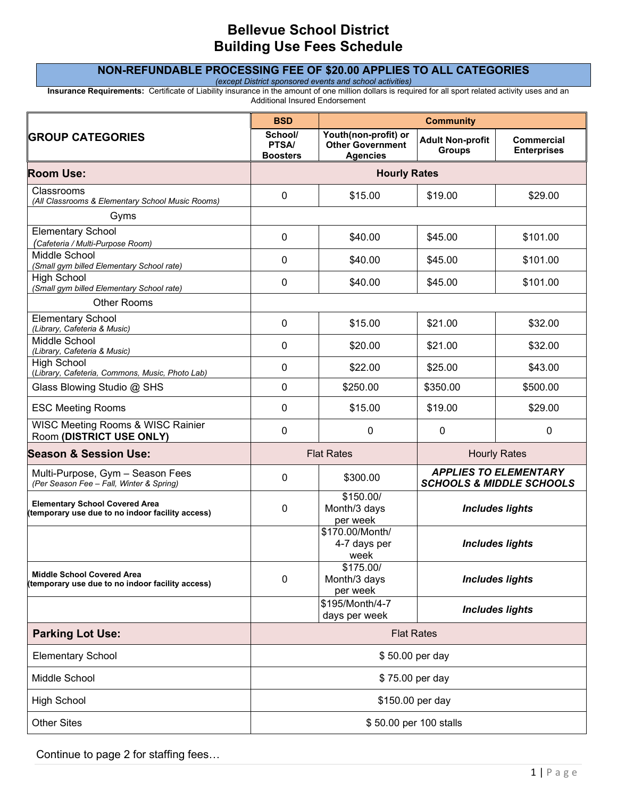# **Bellevue School District Building Use Fees Schedule**

## **NON-REFUNDABLE PROCESSING FEE OF \$20.00 APPLIES TO ALL CATEGORIES**

*(except District sponsored events and school activities)*

**Insurance Requirements:** Certificate of Liability insurance in the amount of one million dollars is required for all sport related activity uses and an Additional Insured Endorsement

|                                                                                           | <b>BSD</b>                          | <b>Community</b>                                                   |                                                                     |                                  |
|-------------------------------------------------------------------------------------------|-------------------------------------|--------------------------------------------------------------------|---------------------------------------------------------------------|----------------------------------|
| <b>GROUP CATEGORIES</b>                                                                   | School/<br>PTSA/<br><b>Boosters</b> | Youth(non-profit) or<br><b>Other Government</b><br><b>Agencies</b> | <b>Adult Non-profit</b><br><b>Groups</b>                            | Commercial<br><b>Enterprises</b> |
| <b>Room Use:</b>                                                                          | <b>Hourly Rates</b>                 |                                                                    |                                                                     |                                  |
| Classrooms<br>(All Classrooms & Elementary School Music Rooms)                            | $\mathbf 0$                         | \$15.00                                                            | \$19.00                                                             | \$29.00                          |
| Gyms                                                                                      |                                     |                                                                    |                                                                     |                                  |
| <b>Elementary School</b><br>(Cafeteria / Multi-Purpose Room)                              | 0                                   | \$40.00                                                            | \$45.00                                                             | \$101.00                         |
| Middle School<br>(Small gym billed Elementary School rate)                                | 0                                   | \$40.00                                                            | \$45.00                                                             | \$101.00                         |
| <b>High School</b><br>(Small gym billed Elementary School rate)                           | 0                                   | \$40.00                                                            | \$45.00                                                             | \$101.00                         |
| <b>Other Rooms</b>                                                                        |                                     |                                                                    |                                                                     |                                  |
| <b>Elementary School</b><br>(Library, Cafeteria & Music)                                  | 0                                   | \$15.00                                                            | \$21.00                                                             | \$32.00                          |
| Middle School<br>(Library, Cafeteria & Music)                                             | 0                                   | \$20.00                                                            | \$21.00                                                             | \$32.00                          |
| <b>High School</b><br>(Library, Cafeteria, Commons, Music, Photo Lab)                     | 0                                   | \$22.00                                                            | \$25.00                                                             | \$43.00                          |
| Glass Blowing Studio @ SHS                                                                | 0                                   | \$250.00                                                           | \$350.00                                                            | \$500.00                         |
| <b>ESC Meeting Rooms</b>                                                                  | 0                                   | \$15.00                                                            | \$19.00                                                             | \$29.00                          |
| WISC Meeting Rooms & WISC Rainier<br>Room (DISTRICT USE ONLY)                             | 0                                   | 0                                                                  | 0                                                                   | 0                                |
| <b>Season &amp; Session Use:</b>                                                          | <b>Flat Rates</b>                   |                                                                    | <b>Hourly Rates</b>                                                 |                                  |
| Multi-Purpose, Gym - Season Fees<br>(Per Season Fee - Fall, Winter & Spring)              | 0                                   | \$300.00                                                           | <b>APPLIES TO ELEMENTARY</b><br><b>SCHOOLS &amp; MIDDLE SCHOOLS</b> |                                  |
| <b>Elementary School Covered Area</b><br>(temporary use due to no indoor facility access) | 0                                   | \$150.00/<br>Month/3 days<br>per week                              | <b>Includes lights</b><br><b>Includes lights</b>                    |                                  |
|                                                                                           |                                     | \$170.00/Month/<br>4-7 days per<br>week                            |                                                                     |                                  |
| <b>Middle School Covered Area</b><br>temporary use due to no indoor facility access)      | 0                                   | \$175.00/<br>Month/3 days<br>per week                              | <b>Includes lights</b><br><b>Includes lights</b>                    |                                  |
|                                                                                           |                                     | \$195/Month/4-7<br>days per week                                   |                                                                     |                                  |
| <b>Parking Lot Use:</b>                                                                   | <b>Flat Rates</b>                   |                                                                    |                                                                     |                                  |
| <b>Elementary School</b>                                                                  | \$50.00 per day                     |                                                                    |                                                                     |                                  |
| Middle School                                                                             | \$75.00 per day                     |                                                                    |                                                                     |                                  |
| <b>High School</b>                                                                        | \$150.00 per day                    |                                                                    |                                                                     |                                  |
| <b>Other Sites</b>                                                                        | \$50.00 per 100 stalls              |                                                                    |                                                                     |                                  |

Continue to page 2 for staffing fees…